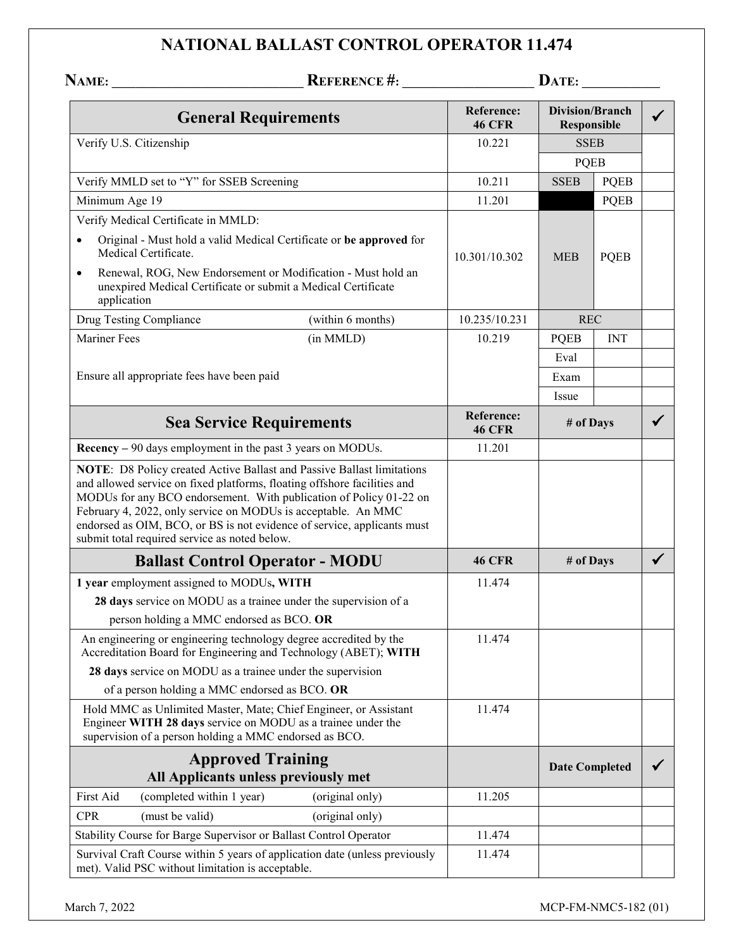## **NATIONAL BALLAST CONTROL OPERATOR 11.474**

|                                                                                                                                      | <b>REFERENCE #:</b>                                                                                                                                                                                                                                                                                                                                                  | DATE:                              |                                       |             |              |
|--------------------------------------------------------------------------------------------------------------------------------------|----------------------------------------------------------------------------------------------------------------------------------------------------------------------------------------------------------------------------------------------------------------------------------------------------------------------------------------------------------------------|------------------------------------|---------------------------------------|-------------|--------------|
| <b>General Requirements</b>                                                                                                          |                                                                                                                                                                                                                                                                                                                                                                      | <b>Reference:</b><br><b>46 CFR</b> | <b>Division/Branch</b><br>Responsible |             |              |
| Verify U.S. Citizenship                                                                                                              |                                                                                                                                                                                                                                                                                                                                                                      | 10.221                             | <b>SSEB</b>                           |             |              |
|                                                                                                                                      |                                                                                                                                                                                                                                                                                                                                                                      |                                    | <b>PQEB</b>                           |             |              |
| Verify MMLD set to "Y" for SSEB Screening                                                                                            |                                                                                                                                                                                                                                                                                                                                                                      | 10.211                             | <b>SSEB</b>                           | <b>PQEB</b> |              |
| Minimum Age 19                                                                                                                       |                                                                                                                                                                                                                                                                                                                                                                      | 11.201                             |                                       | <b>PQEB</b> |              |
| Verify Medical Certificate in MMLD:                                                                                                  |                                                                                                                                                                                                                                                                                                                                                                      |                                    |                                       |             |              |
| $\bullet$<br>Medical Certificate.                                                                                                    | Original - Must hold a valid Medical Certificate or be approved for                                                                                                                                                                                                                                                                                                  | 10.301/10.302                      | <b>MEB</b>                            | <b>PQEB</b> |              |
| $\bullet$<br>application                                                                                                             | Renewal, ROG, New Endorsement or Modification - Must hold an<br>unexpired Medical Certificate or submit a Medical Certificate                                                                                                                                                                                                                                        |                                    |                                       |             |              |
| Drug Testing Compliance                                                                                                              | (within 6 months)                                                                                                                                                                                                                                                                                                                                                    | 10.235/10.231                      | <b>REC</b>                            |             |              |
| <b>Mariner Fees</b>                                                                                                                  | (in MMLD)                                                                                                                                                                                                                                                                                                                                                            | 10.219                             | <b>PQEB</b>                           | <b>INT</b>  |              |
|                                                                                                                                      |                                                                                                                                                                                                                                                                                                                                                                      |                                    | Eval                                  |             |              |
| Ensure all appropriate fees have been paid                                                                                           |                                                                                                                                                                                                                                                                                                                                                                      |                                    | Exam                                  |             |              |
|                                                                                                                                      |                                                                                                                                                                                                                                                                                                                                                                      |                                    | Issue                                 |             |              |
| <b>Sea Service Requirements</b>                                                                                                      |                                                                                                                                                                                                                                                                                                                                                                      | Reference:<br><b>46 CFR</b>        | # of Days                             |             |              |
| Recency - 90 days employment in the past 3 years on MODUs.                                                                           |                                                                                                                                                                                                                                                                                                                                                                      | 11.201                             |                                       |             |              |
| submit total required service as noted below.                                                                                        | NOTE: D8 Policy created Active Ballast and Passive Ballast limitations<br>and allowed service on fixed platforms, floating offshore facilities and<br>MODUs for any BCO endorsement. With publication of Policy 01-22 on<br>February 4, 2022, only service on MODUs is acceptable. An MMC<br>endorsed as OIM, BCO, or BS is not evidence of service, applicants must |                                    |                                       |             |              |
|                                                                                                                                      | <b>Ballast Control Operator - MODU</b>                                                                                                                                                                                                                                                                                                                               | <b>46 CFR</b>                      | # of Days                             |             | $\checkmark$ |
| 1 year employment assigned to MODUs, WITH                                                                                            |                                                                                                                                                                                                                                                                                                                                                                      | 11.474                             |                                       |             |              |
|                                                                                                                                      | 28 days service on MODU as a trainee under the supervision of a<br>person holding a MMC endorsed as BCO. OR                                                                                                                                                                                                                                                          |                                    |                                       |             |              |
| An engineering or engineering technology degree accredited by the<br>Accreditation Board for Engineering and Technology (ABET); WITH |                                                                                                                                                                                                                                                                                                                                                                      | 11.474                             |                                       |             |              |
|                                                                                                                                      | 28 days service on MODU as a trainee under the supervision                                                                                                                                                                                                                                                                                                           |                                    |                                       |             |              |
|                                                                                                                                      | of a person holding a MMC endorsed as BCO. OR                                                                                                                                                                                                                                                                                                                        |                                    |                                       |             |              |
|                                                                                                                                      | Hold MMC as Unlimited Master, Mate; Chief Engineer, or Assistant<br>Engineer WITH 28 days service on MODU as a trainee under the<br>supervision of a person holding a MMC endorsed as BCO.                                                                                                                                                                           | 11.474                             |                                       |             |              |
| <b>Approved Training</b><br>All Applicants unless previously met                                                                     |                                                                                                                                                                                                                                                                                                                                                                      |                                    | <b>Date Completed</b>                 |             |              |
| First Aid<br>(completed within 1 year)                                                                                               | (original only)                                                                                                                                                                                                                                                                                                                                                      | 11.205                             |                                       |             |              |
| <b>CPR</b><br>(must be valid)                                                                                                        | (original only)                                                                                                                                                                                                                                                                                                                                                      |                                    |                                       |             |              |
|                                                                                                                                      | Stability Course for Barge Supervisor or Ballast Control Operator                                                                                                                                                                                                                                                                                                    | 11.474                             |                                       |             |              |
| Survival Craft Course within 5 years of application date (unless previously<br>met). Valid PSC without limitation is acceptable.     |                                                                                                                                                                                                                                                                                                                                                                      | 11.474                             |                                       |             |              |